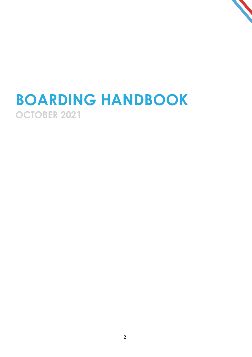# **BOARDING HANDBOOK OCTOBER 2021**

2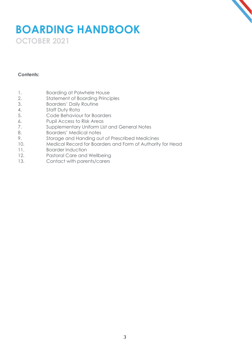### **BOARDING HANDBOOK OCTOBER 2021**

#### **Contents:**

- 1. Boarding at Polwhele House
- 2. Statement of Boarding Principles
- 3. Boarders' Daily Routine
- 4. Staff Duty Rota
- 5. Code Behaviour for Boarders
- 6. Pupil Access to Risk Areas
- 7. Supplementary Uniform List and General Notes
- 8. Boarders' Medical notes
- 9. Storage and Handing out of Prescribed Medicines
- 10. Medical Record for Boarders and Form of Authority for Head
- 11. Boarder Induction
- 12. Pastoral Care and Wellbeing
- 13. Contact with parents/carers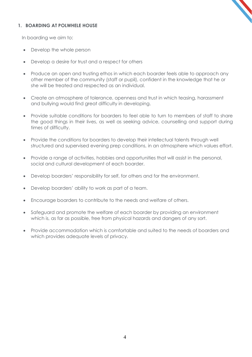#### **1. BOARDING AT POLWHELE HOUSE**

In boarding we aim to:

- Develop the whole person
- Develop a desire for trust and a respect for others
- Produce an open and trusting ethos in which each boarder feels able to approach any other member of the community (staff or pupil), confident in the knowledge that he or she will be treated and respected as an individual.
- Create an atmosphere of tolerance, openness and trust in which teasing, harassment and bullying would find great difficulty in developing.
- Provide suitable conditions for boarders to feel able to turn to members of staff to share the good things in their lives, as well as seeking advice, counselling and support during times of difficulty.
- Provide the conditions for boarders to develop their intellectual talents through well structured and supervised evening prep conditions, in an atmosphere which values effort.
- Provide a range of activities, hobbies and opportunities that will assist in the personal, social and cultural development of each boarder.
- Develop boarders' responsibility for self, for others and for the environment.
- Develop boarders' ability to work as part of a team.
- Encourage boarders to contribute to the needs and welfare of others.
- Safeguard and promote the welfare of each boarder by providing an environment which is, as far as possible, free from physical hazards and dangers of any sort.
- Provide accommodation which is comfortable and suited to the needs of boarders and which provides adequate levels of privacy.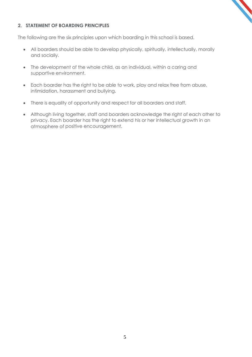#### **2. STATEMENT OF BOARDING PRINCIPLES**

The following are the six principles upon which boarding in this school is based.

- All boarders should be able to develop physically, spiritually, intellectually, morally and socially.
- The development of the whole child, as an individual, within a caring and supportive environment.
- Each boarder has the right to be able to work, play and relax free from abuse, intimidation, harassment and bullying.
- There is equality of opportunity and respect for all boarders and staff.
- Although living together, staff and boarders acknowledge the right of each other to privacy. Each boarder has the right to extend his or her intellectual growth in an atmosphere of positive encouragement.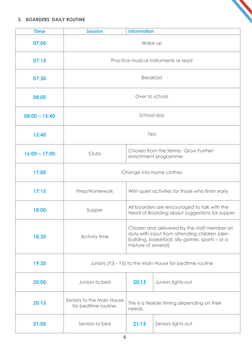#### **3. BOARDERS' DAILY ROUTINE**

| <b>Time</b>     | <b>Information</b><br><b>Session</b>                    |                                                                                                                                                                        |                    |
|-----------------|---------------------------------------------------------|------------------------------------------------------------------------------------------------------------------------------------------------------------------------|--------------------|
| 07:00           | Wake up                                                 |                                                                                                                                                                        |                    |
| 07:15           | Practice musical instruments or read                    |                                                                                                                                                                        |                    |
| 07:30           | <b>Breakfast</b>                                        |                                                                                                                                                                        |                    |
| 08:00           | Over to school                                          |                                                                                                                                                                        |                    |
| $08:00 - 15:40$ | School day                                              |                                                                                                                                                                        |                    |
| 15:40           | Tea                                                     |                                                                                                                                                                        |                    |
| $16:00 - 17:00$ | Clubs                                                   | Chosen from the termly 'Grow Further'<br>enrichment programme                                                                                                          |                    |
| 17:00           | Change into home clothes                                |                                                                                                                                                                        |                    |
| 17:15           | Prep/Homework                                           | With quiet activities for those who finish early                                                                                                                       |                    |
| 18:00           | Supper                                                  | All boarders are encouraged to talk with the<br>Head of Boarding about suggestions for supper                                                                          |                    |
| 18:30           | Activity time                                           | Chosen and delivered by the staff member on<br>duty with input from attending children (den<br>building, basketball, silly games, sports - or a<br>mixture of several) |                    |
| 19:30           | Juniors (Y3 – Y5) to the Main House for bedtime routine |                                                                                                                                                                        |                    |
| 20:00           | Juniors to bed                                          | 20:15                                                                                                                                                                  | Juniors lights-out |
| 20:15           | Seniors to the Main House<br>for bedtime routine.       | This is a flexible timing depending on their<br>needs.                                                                                                                 |                    |
| 21:00           | Seniors to bed                                          | 21:15                                                                                                                                                                  | Seniors lights-out |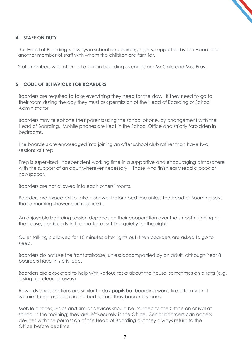### **4. STAFF ON DUTY**

The Head of Boarding is always in school on boarding nights, supported by the Head and another member of staff with whom the children are familiar.

Staff members who often take part in boarding evenings are Mr Gale and Miss Bray.

#### **5. CODE OF BEHAVIOUR FOR BOARDERS**

Boarders are required to take everything they need for the day. If they need to go to their room during the day they must ask permission of the Head of Boarding or School Administrator.

Boarders may telephone their parents using the school phone, by arrangement with the Head of Boarding. Mobile phones are kept in the School Office and strictly forbidden in bedrooms.

The boarders are encouraged into joining an after school club rather than have two sessions of Prep.

Prep is supervised, independent working time in a supportive and encouraging atmosphere with the support of an adult wherever necessary. Those who finish early read a book or newspaper.

Boarders are not allowed into each others' rooms.

Boarders are expected to take a shower before bedtime unless the Head of Boarding says that a morning shower can replace it.

An enjoyable boarding session depends on their cooperation over the smooth running of the house, particularly in the matter of settling quietly for the night.

Quiet talking is allowed for 10 minutes after lights out; then boarders are asked to go to sleep.

Boarders do not use the front staircase, unless accompanied by an adult, although Year 8 boarders have this privilege.

Boarders are expected to help with various tasks about the house, sometimes on a rota (e.g. laying up, clearing away).

Rewards and sanctions are similar to day pupils but boarding works like a family and we aim to nip problems in the bud before they become serious.

Mobile phones, iPads and similar devices should be handed to the Office on arrival at school in the morning; they are left securely in the Office. Senior boarders can access devices with the permission of the Head of Boarding but they always return to the Office before bedtime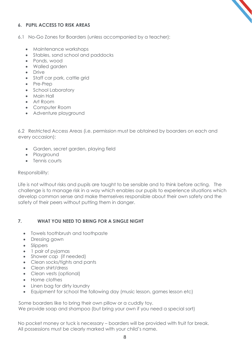

#### **6. PUPIL ACCESS TO RISK AREAS**

- 6.1 No-Go Zones for Boarders (unless accompanied by a teacher):
	- Maintenance workshops
	- Stables, sand school and paddocks
	- Ponds, wood
	- Walled garden
	- Drive
	- Staff car park, cattle grid
	- Pre-Prep
	- School Laboratory
	- Main Hall
	- Art Room
	- Computer Room
	- Adventure playground

6.2 Restricted Access Areas (i.e. permission must be obtained by boarders on each and every occasion):

- Garden, secret garden, playing field
- Playground
- Tennis courts

#### Responsibility:

Life is not without risks and pupils are taught to be sensible and to think before acting. The challenge is to manage risk in a way which enables our pupils to experience situations which develop common sense and make themselves responsible about their own safety and the safety of their peers without putting them in danger.

#### **7. WHAT YOU NEED TO BRING FOR A SINGLE NIGHT**

- Towels toothbrush and toothpaste
- Dressing gown
- Slippers
- 1 pair of pyjamas
- Shower cap (if needed)
- Clean socks/tights and pants
- Clean shirt/dress
- Clean vests (optional)
- Home clothes
- Linen bag for dirty laundry
- Equipment for school the following day (music lesson, games lesson etc)

Some boarders like to bring their own pillow or a cuddly toy. We provide soap and shampoo (but bring your own if you need a special sort)

No pocket money or tuck is necessary – boarders will be provided with fruit for break. All possessions must be clearly marked with your child's name.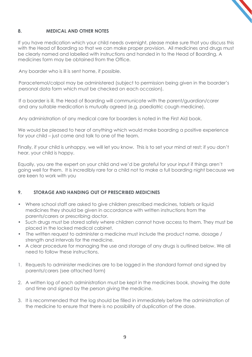

#### **8. MEDICAL AND OTHER NOTES**

If you have medication which your child needs overnight, please make sure that you discuss this with the Head of Boarding so that we can make proper provision. All medicines and drugs must be clearly named and labelled with instructions and handed in to the Head of Boarding. A medicines form may be obtained from the Office.

Any boarder who is ill is sent home, if possible.

Paracetemol/calpol may be administered (subject to permission being given in the boarder's personal data form which must be checked on each occasion).

If a boarder is ill, the Head of Boarding will communicate with the parent/guardian/carer and any suitable medication is mutually agreed (e.g. paediatric cough medicine).

Any administration of any medical care for boarders is noted in the First Aid book.

We would be pleased to hear of anything which would make boarding a positive experience for your child – just come and talk to one of the team.

Finally, if your child is unhappy, we will let you know. This is to set your mind at rest; if you don't hear, your child is happy.

Equally, you are the expert on your child and we'd be grateful for your input if things aren't going well for them. It is incredibly rare for a child not to make a full boarding night because we are keen to work with you

#### **9. STORAGE AND HANDING OUT OF PRESCRIBED MEDICINES**

- Where school staff are asked to give children prescribed medicines, tablets or liquid medicines they should be given in accordance with written instructions from the parents/carers or prescribing doctor.
- Such drugs must be stored safely where children cannot have access to them. They must be placed in the locked medical cabinet.
- The written request to administer a medicine must include the product name, dosage / strength and intervals for the medicine.
- A clear procedure for managing the use and storage of any drugs is outlined below. We all need to follow these instructions.
- 1. Requests to administer medicines are to be logged in the standard format and signed by parents/carers (see attached form)
- 2. A written log of each administration must be kept in the medicines book, showing the date and time and signed by the person giving the medicine.
- 3. It is recommended that the log should be filled in immediately before the administration of the medicine to ensure that there is no possibility of duplication of the dose.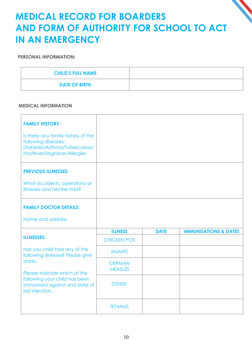### **MEDICAL RECORD FOR BOARDERS AND FORM OF AUTHORITY FOR SCHOOL TO ACT IN AN EMERGENCY**

#### **PERSONAL INFORMATION:**

| <b>CHILD'S FULL NAME</b> |  |
|--------------------------|--|
| <b>DATE OF BIRTH</b>     |  |

#### **MEDICAL INFORMATION**

| <b>FAMILY HISTORY:</b><br>Is there any family history of the<br>following diseases:<br>Diabetes/Asthma/Tuberculosis/<br>Hayfever/Migraine/Allergies |                                 |             |                                  |
|-----------------------------------------------------------------------------------------------------------------------------------------------------|---------------------------------|-------------|----------------------------------|
| <b>PREVIOUS ILLNESSES:</b><br>What accidents, operations or<br>illnesses and he/she had?                                                            |                                 |             |                                  |
| <b>FAMILY DOCTOR DETAILS:</b><br>Name and address                                                                                                   |                                 |             |                                  |
| <b>ILLNESSES:</b>                                                                                                                                   | <b>ILLNESS</b>                  | <b>DATE</b> | <b>IMMUNISATIONS &amp; DATES</b> |
|                                                                                                                                                     | <b>CHICKEN POX</b>              |             |                                  |
| Has you child had any of the<br>following illnesses? Please give                                                                                    | <b>MUMPS</b>                    |             |                                  |
| dates.<br>Please indicate which of the                                                                                                              | <b>GERMAN</b><br><b>MEASLES</b> |             |                                  |
| following your child has been<br>immunised against and date of<br>last injection.                                                                   | OTHER:                          |             |                                  |
|                                                                                                                                                     | <b>TETANUS</b>                  |             |                                  |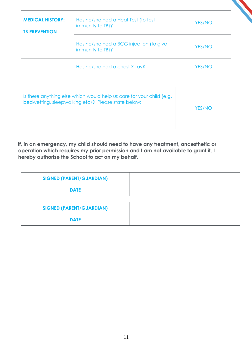| <b>MEDICAL HISTORY:</b><br><b>TB PREVENTION</b> | Has he/she had a Heaf Test (to test<br>immunity to TB)?     | <b>YES/NO</b> |
|-------------------------------------------------|-------------------------------------------------------------|---------------|
|                                                 | Has he/she had a BCG injection (to give<br>immunity to TB)? | <b>YES/NO</b> |
|                                                 | Has he/she had a chest X-ray?                               | <b>YES/NO</b> |

| Is there anything else which would help us care for your child (e.g.<br>bedwetting, sleepwalking etc)? Please state below: | YES/NO |
|----------------------------------------------------------------------------------------------------------------------------|--------|
|----------------------------------------------------------------------------------------------------------------------------|--------|

**If, in an emergency, my child should need to have any treatment, anaesthetic or operation which requires my prior permission and I am not available to grant it, I hereby authorise the School to act on my behalf.**

| <b>SIGNED (PARENT/GUARDIAN)</b> |  |
|---------------------------------|--|
| <b>DATE</b>                     |  |
|                                 |  |

| <b>SIGNED (PARENT/GUARDIAN)</b> |  |
|---------------------------------|--|
| <b>DATE</b>                     |  |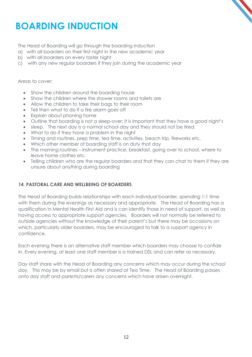## **BOARDING INDUCTION**

The Head of Boarding will go through the boarding induction

- a) with all boarders on their first night in the new academic year
- b) with all boarders on every taster night
- c) with any new regular boarders if they join during the academic year

#### Areas to cover:

- Show the children around the boarding house
- Show the children where the shower rooms and toilets are
- Allow the children to take their bags to their room
- Tell then what to do if a fire alarm goes off
- Explain about phoning home
- Outline that boarding is not a sleep-over; it is important that they have a good night's
- sleep. The next day is a normal school day and they should not be tired.
- What to do if they have a problem in the night
- Timing and routines, prep time, tea time, activities, beach trip, fireworks etc.
- Which other member of boarding staff is on duty that day
- The morning routines instrument practice, breakfast, going over to school, where to leave home clothes etc.
- Telling children who are the regular boarders and that they can chat to them if they are unsure about anything during boarding

#### **14. PASTORAL CARE AND WELLBEING OF BOARDERS**

The Head of Boarding builds relationships with each individual boarder, spending 1:1 time with them during the evenings as necessary and appropriate. The Head of Boarding has a qualification in Mental Health First Aid and is can identify those in need of support, as well as having access to appropriate support agencies. Boarders will not normally be referred to outside agencies without the knowledge of their parent's but there may be occasions on which, particularly older boarders, may be encouraged to talk to a support agency in confidence.

Each evening there is an alternative staff member which boarders may choose to confide in. Every evening, at least one staff member is a trained DSL and can refer as necessary.

Day staff share with the Head of Boarding any concerns which may occur during the school day. This may be by email but is often shared at Tea Time. The Head of Boarding passes onto day staff and parents/carers any concerns which have arisen overnight.